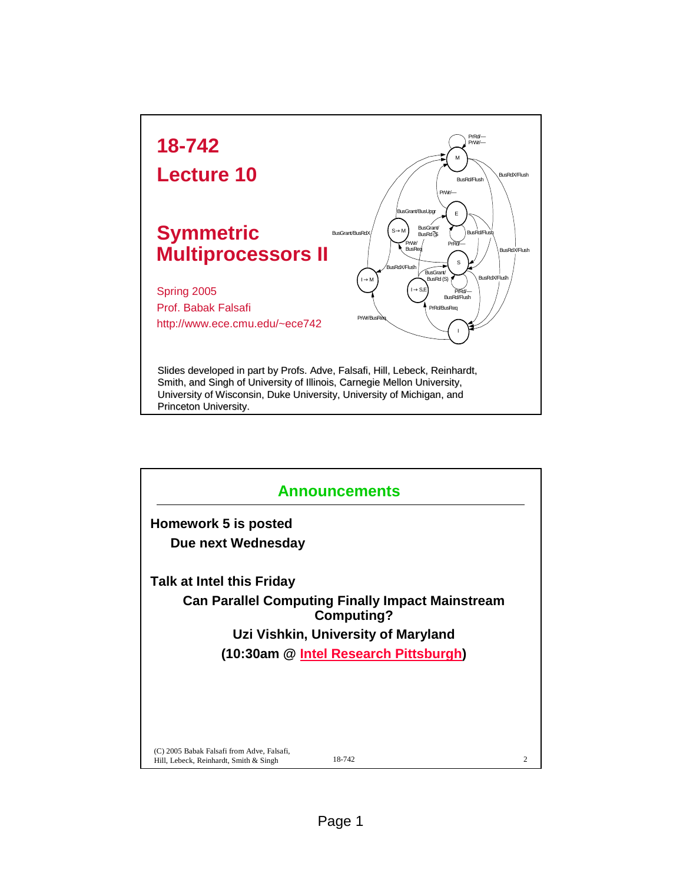

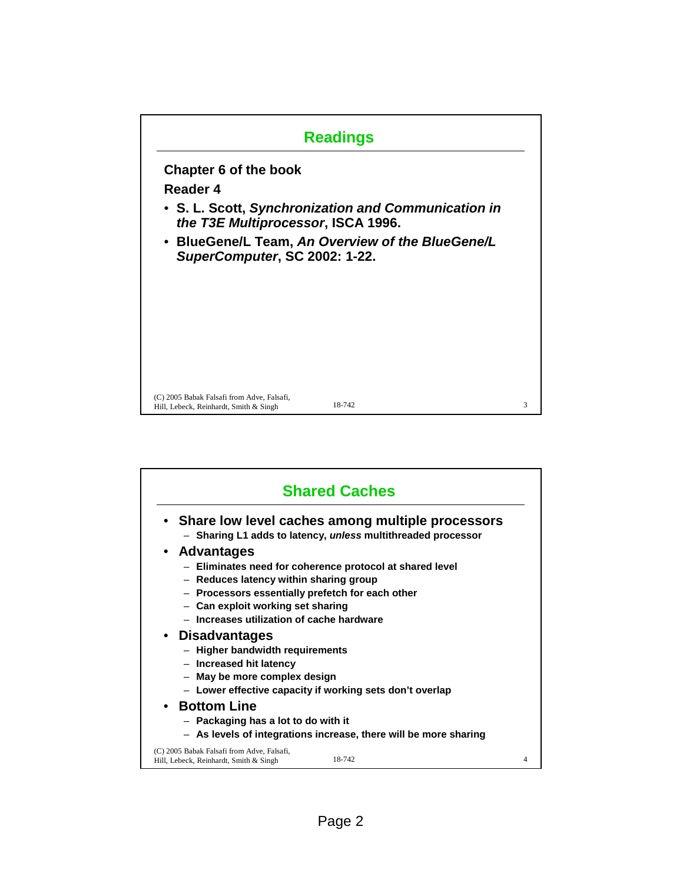

| <b>Shared Caches</b>                                                                                                                                                                                                                                     |   |
|----------------------------------------------------------------------------------------------------------------------------------------------------------------------------------------------------------------------------------------------------------|---|
| • Share low level caches among multiple processors<br>- Sharing L1 adds to latency, unless multithreaded processor                                                                                                                                       |   |
| • Advantages<br>- Eliminates need for coherence protocol at shared level<br>- Reduces latency within sharing group<br>- Processors essentially prefetch for each other<br>- Can exploit working set sharing<br>- Increases utilization of cache hardware |   |
| • Disadvantages<br>- Higher bandwidth requirements<br>- Increased hit latency<br>- May be more complex design<br>- Lower effective capacity if working sets don't overlap                                                                                |   |
| • Bottom Line<br>- Packaging has a lot to do with it<br>- As levels of integrations increase, there will be more sharing                                                                                                                                 |   |
| (C) 2005 Babak Falsafi from Adve, Falsafi,<br>18-742<br>Hill, Lebeck, Reinhardt, Smith & Singh                                                                                                                                                           | 4 |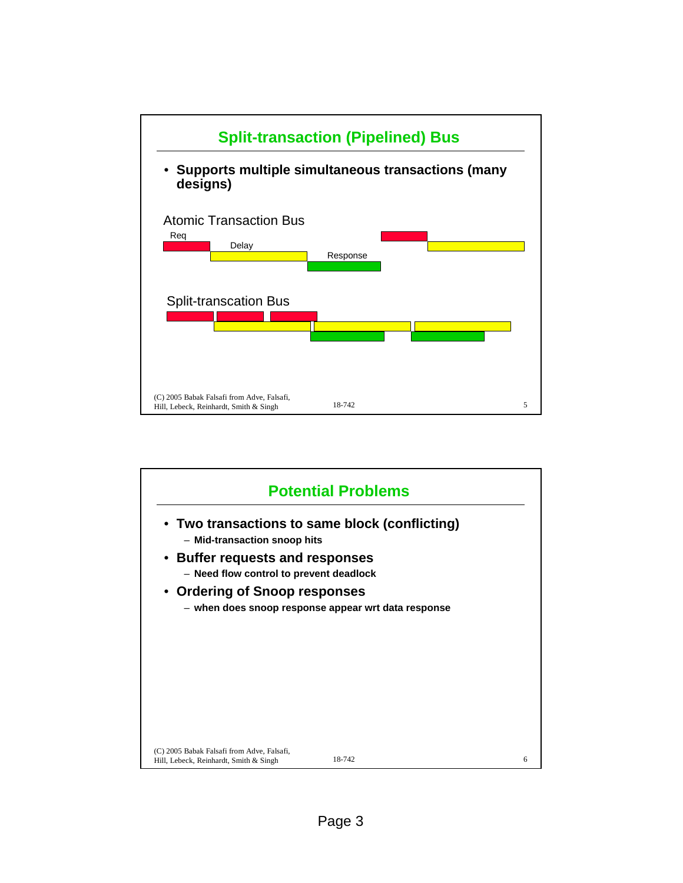

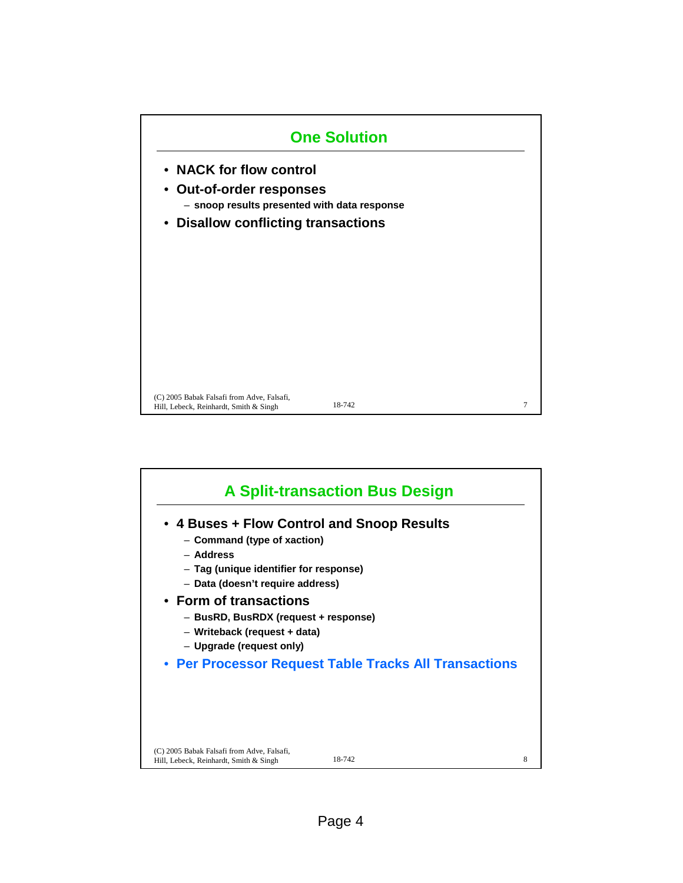

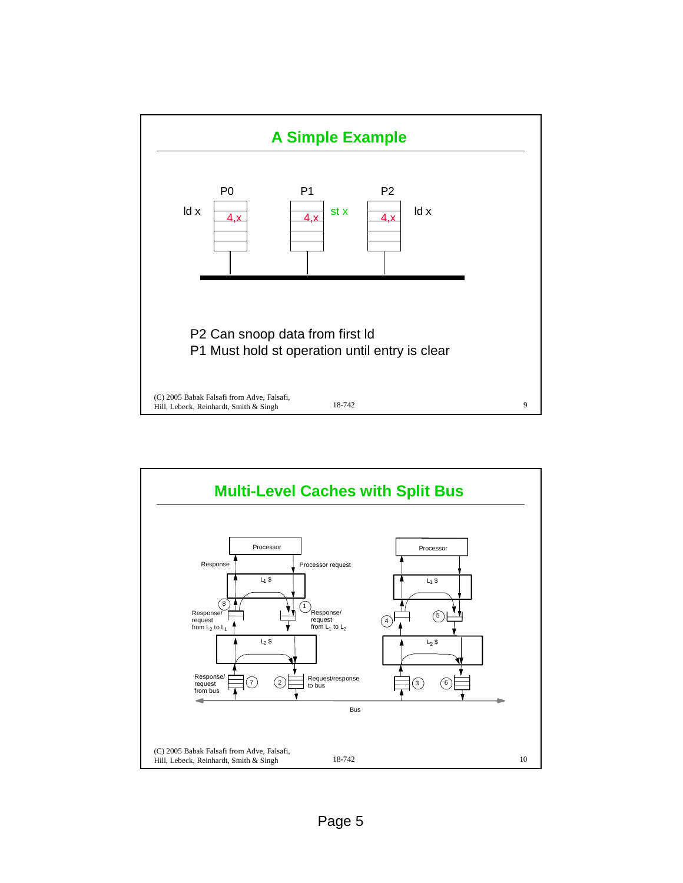

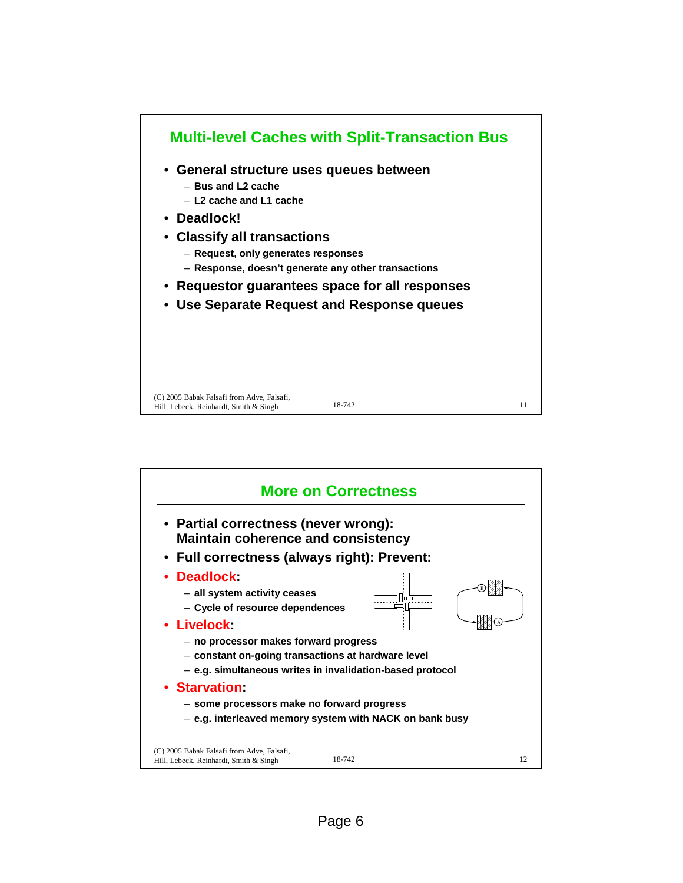

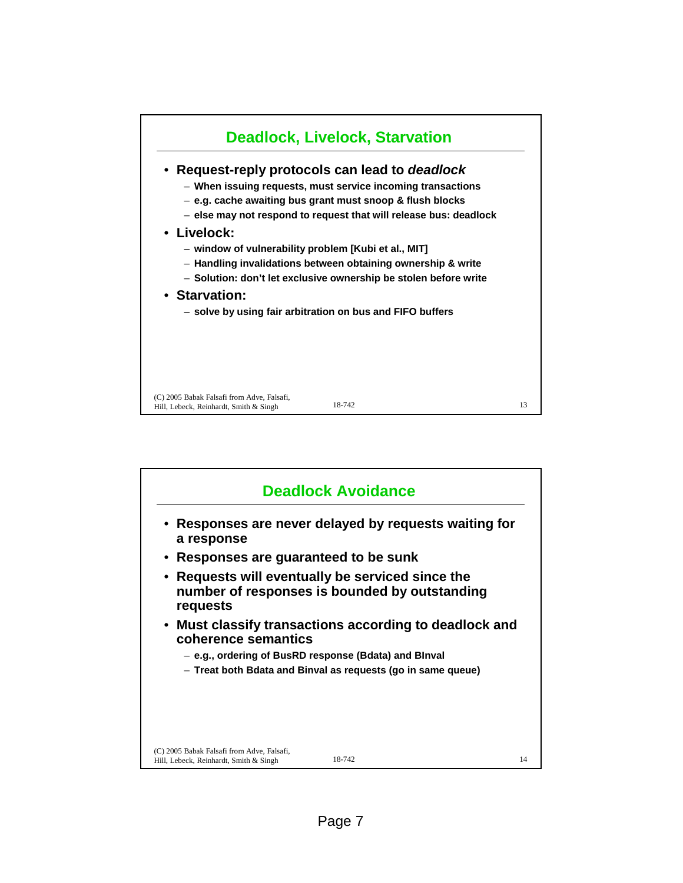

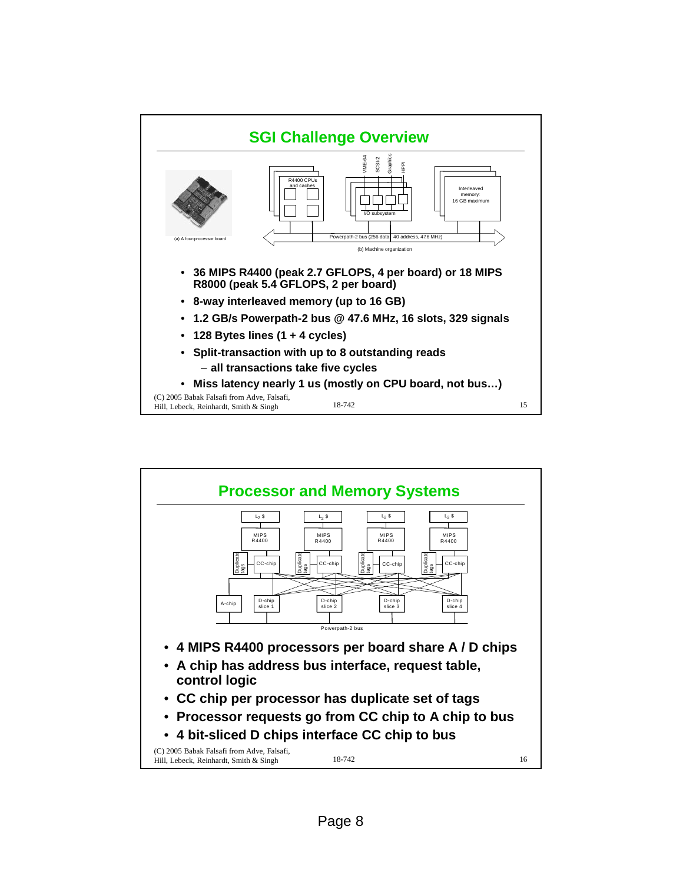

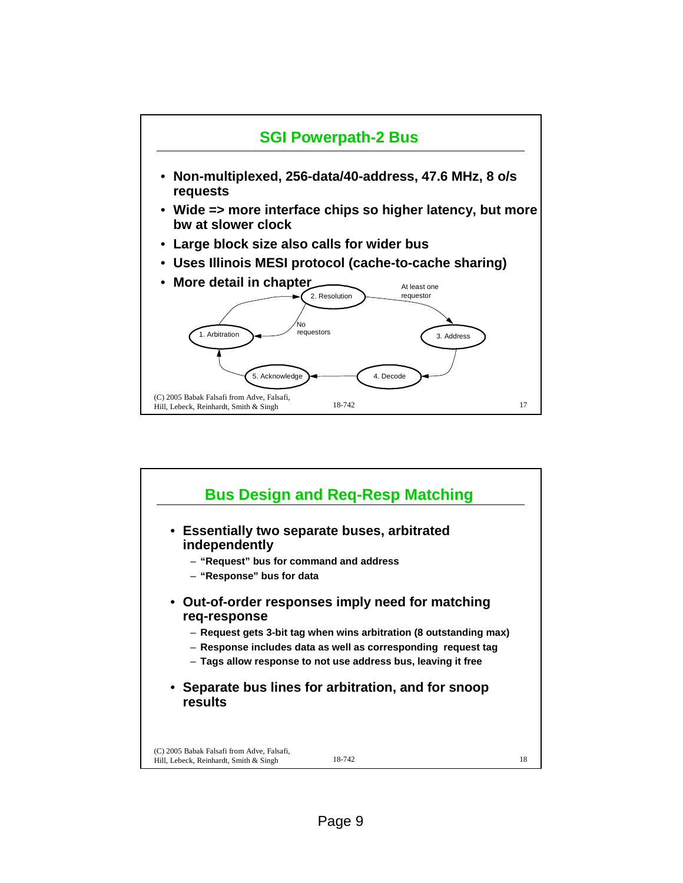

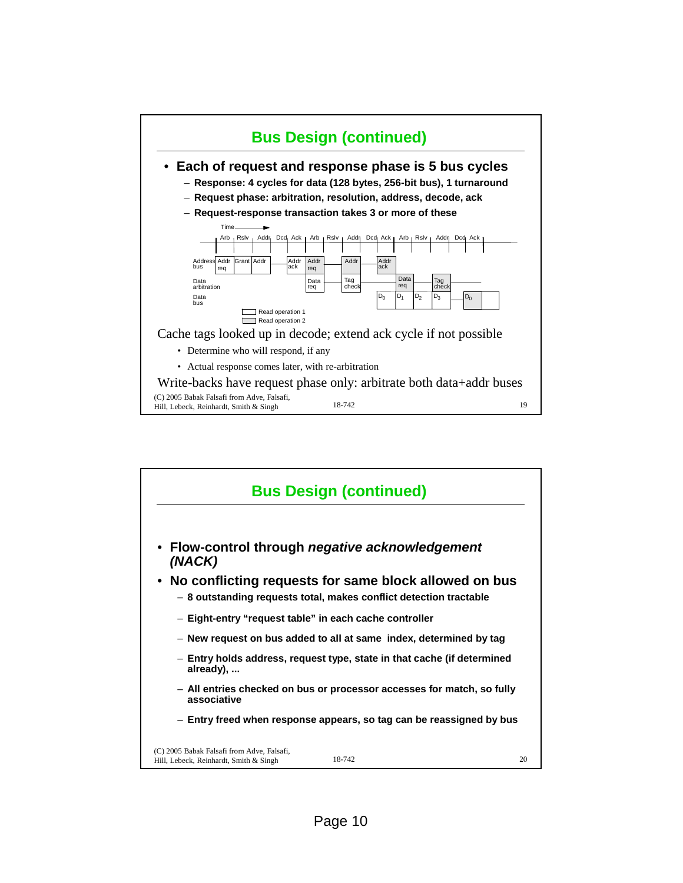

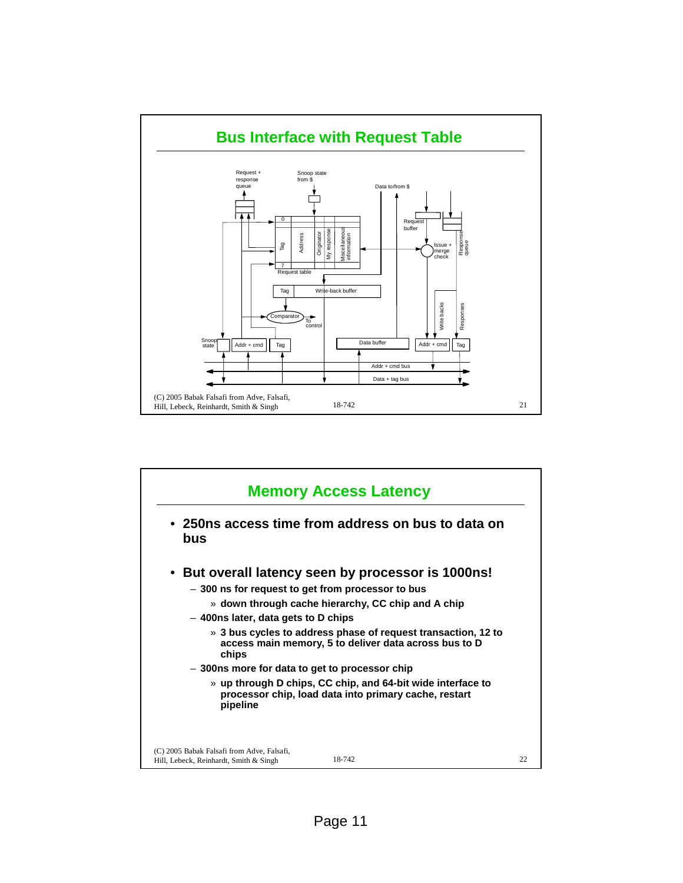

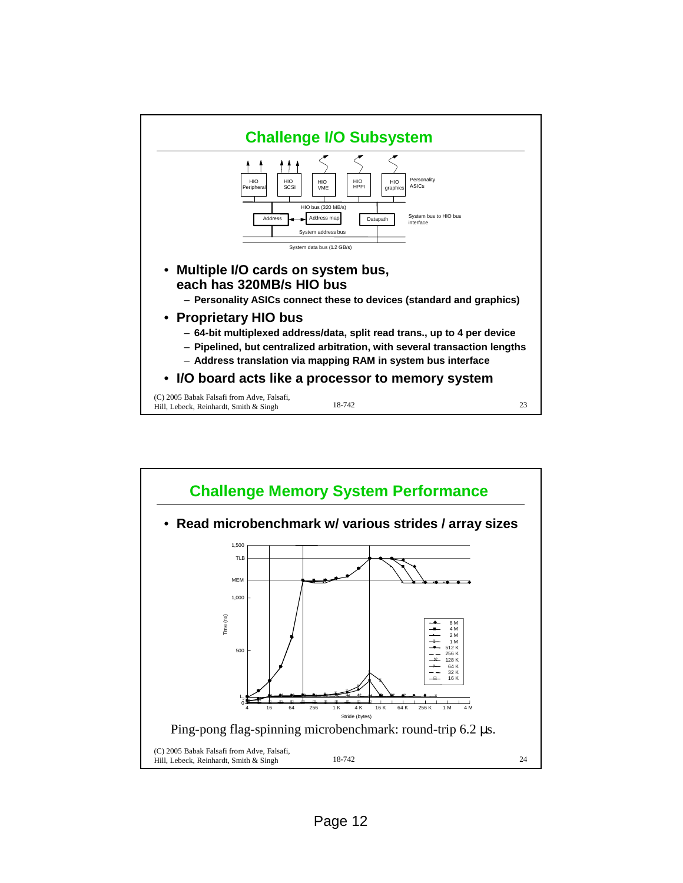

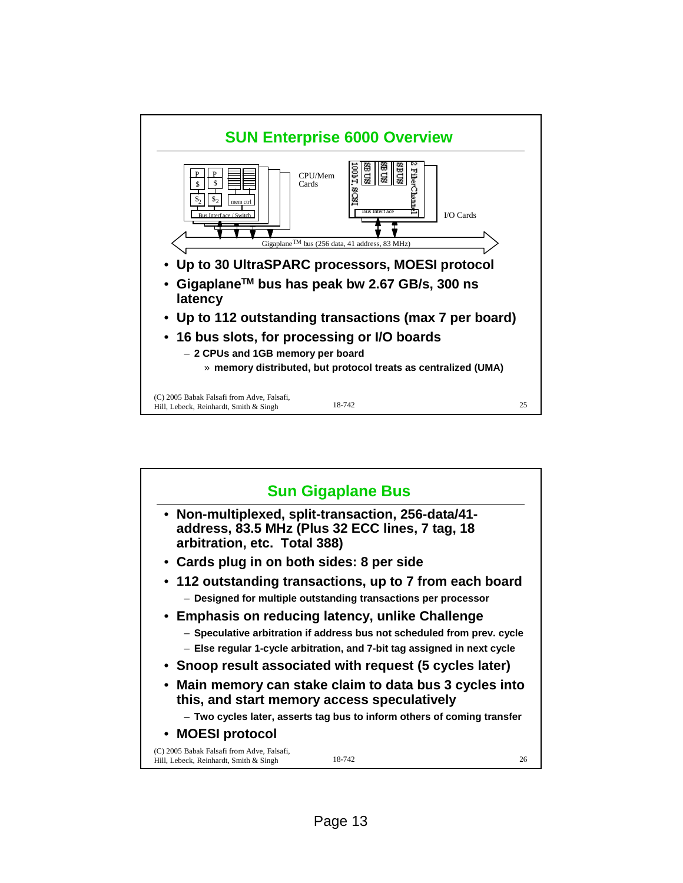

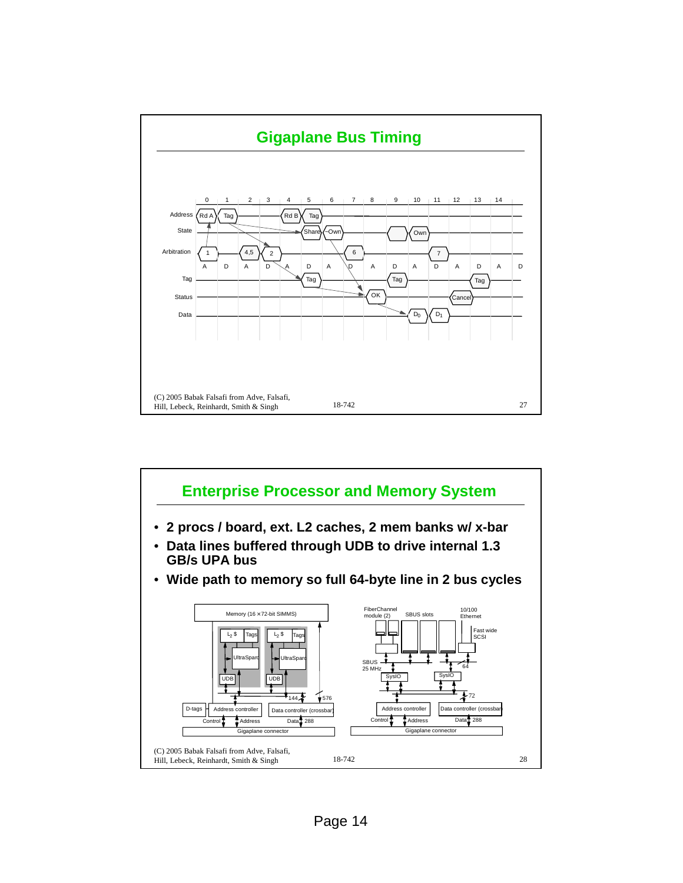

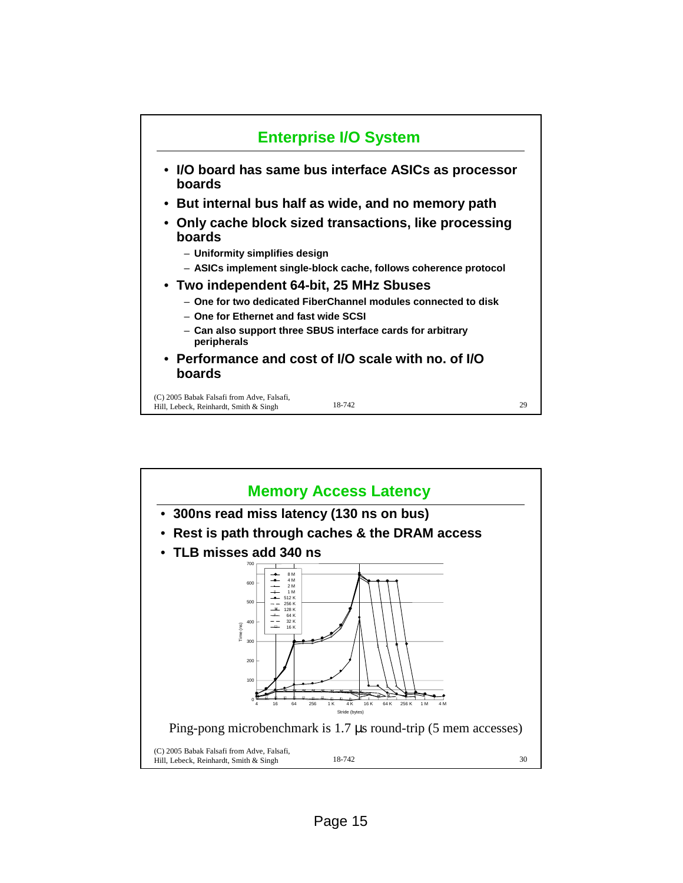

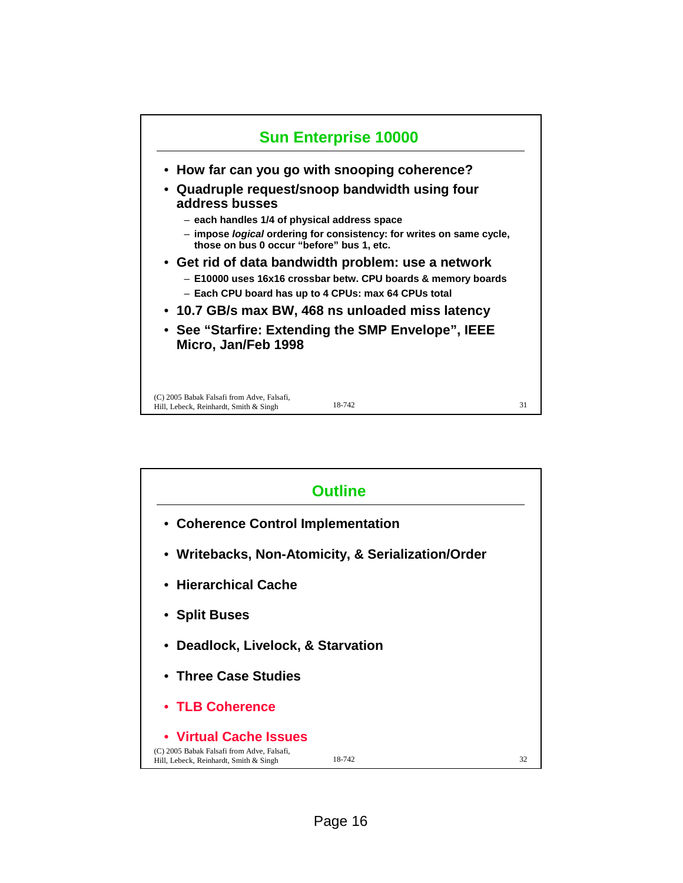

| <b>Outline</b>                                                                                                 |                                                    |    |  |
|----------------------------------------------------------------------------------------------------------------|----------------------------------------------------|----|--|
| • Coherence Control Implementation                                                                             |                                                    |    |  |
|                                                                                                                | • Writebacks, Non-Atomicity, & Serialization/Order |    |  |
| • Hierarchical Cache                                                                                           |                                                    |    |  |
| • Split Buses                                                                                                  |                                                    |    |  |
| • Deadlock, Livelock, & Starvation                                                                             |                                                    |    |  |
| • Three Case Studies                                                                                           |                                                    |    |  |
| • TLB Coherence                                                                                                |                                                    |    |  |
| • Virtual Cache Issues<br>(C) 2005 Babak Falsafi from Adve, Falsafi,<br>Hill, Lebeck, Reinhardt, Smith & Singh | 18-742                                             | 32 |  |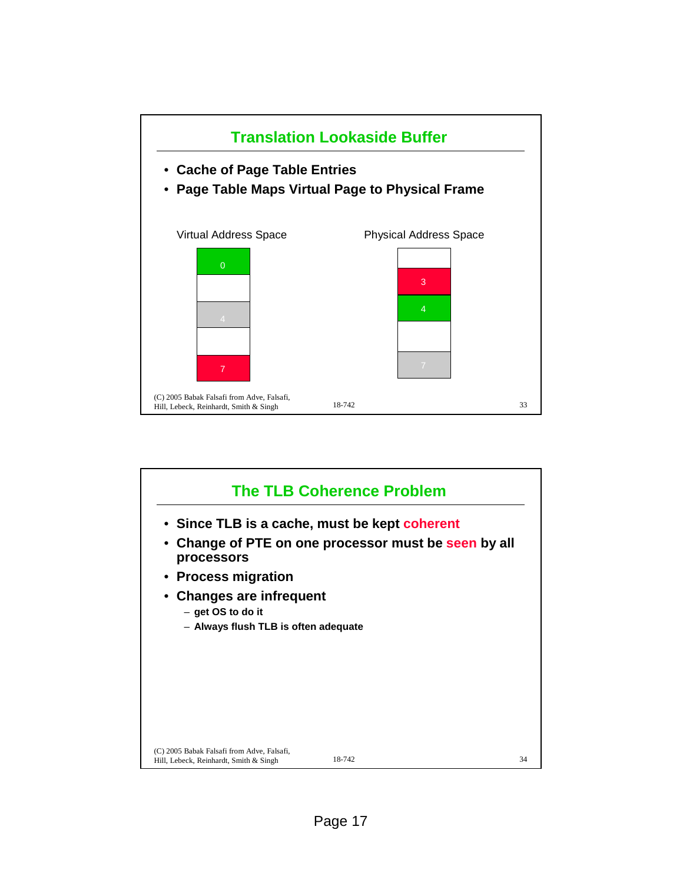

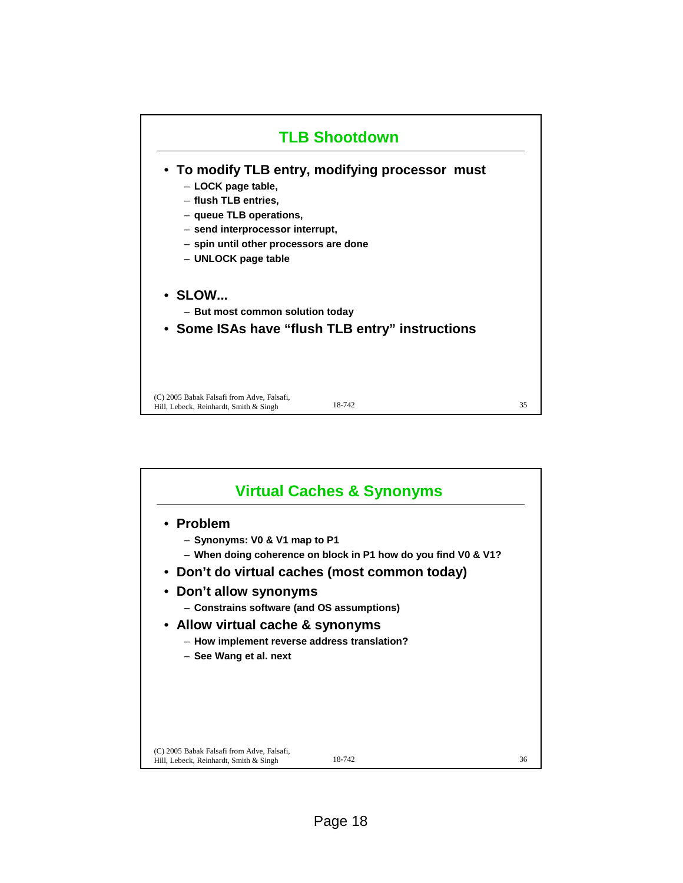

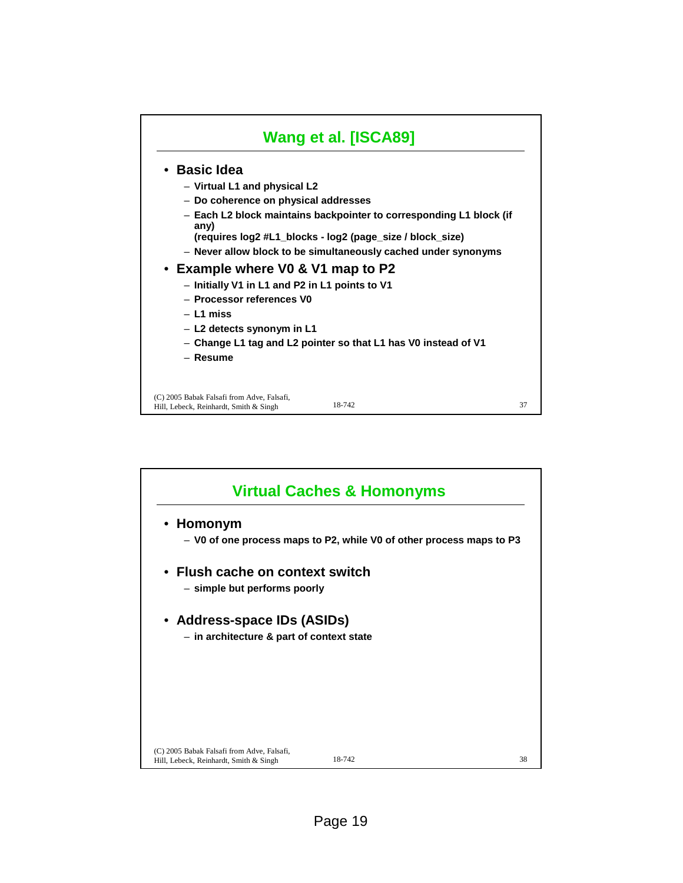